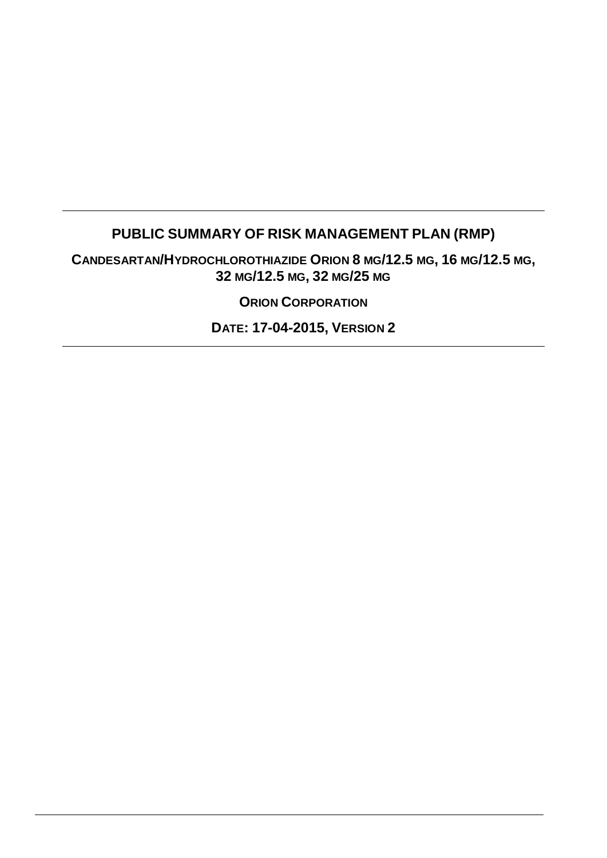# **PUBLIC SUMMARY OF RISK MANAGEMENT PLAN (RMP)**

**CANDESARTAN/HYDROCHLOROTHIAZIDE ORION 8 MG/12.5 MG, 16 MG/12.5 MG, 32 MG/12.5 MG, 32 MG/25 MG**

**ORION CORPORATION**

**DATE: 17-04-2015, VERSION 2**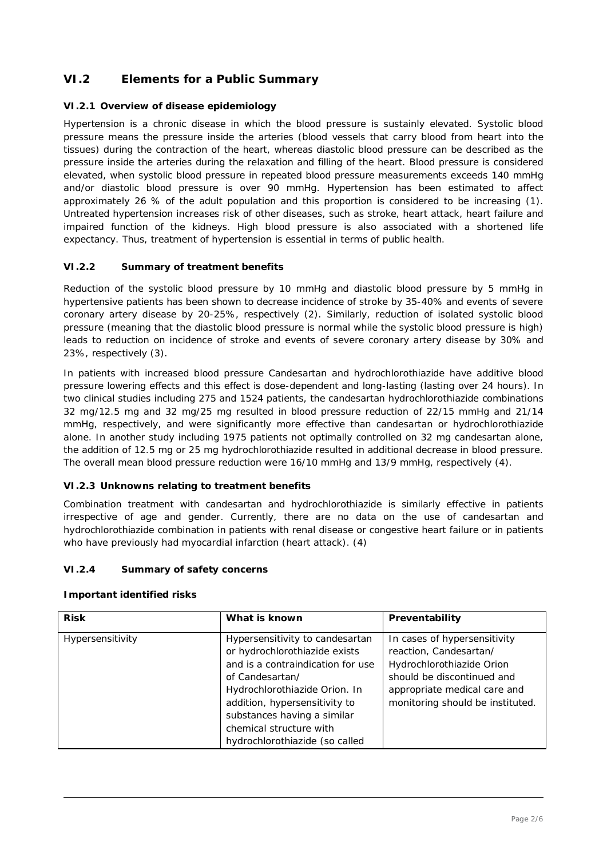## **VI.2 Elements for a Public Summary**

### *VI.2.1 Overview of disease epidemiology*

Hypertension is a chronic disease in which the blood pressure is sustainly elevated. Systolic blood pressure means the pressure inside the arteries (blood vessels that carry blood from heart into the tissues) during the contraction of the heart, whereas diastolic blood pressure can be described as the pressure inside the arteries during the relaxation and filling of the heart. Blood pressure is considered elevated, when systolic blood pressure in repeated blood pressure measurements exceeds 140 mmHg and/or diastolic blood pressure is over 90 mmHg. Hypertension has been estimated to affect approximately 26 % of the adult population and this proportion is considered to be increasing (1). Untreated hypertension increases risk of other diseases, such as stroke, heart attack, heart failure and impaired function of the kidneys. High blood pressure is also associated with a shortened life expectancy. Thus, treatment of hypertension is essential in terms of public health.

### *VI.2.2 Summary of treatment benefits*

Reduction of the systolic blood pressure by 10 mmHg and diastolic blood pressure by 5 mmHg in hypertensive patients has been shown to decrease incidence of stroke by 35-40% and events of severe coronary artery disease by 20-25%, respectively (2). Similarly, reduction of isolated systolic blood pressure (meaning that the diastolic blood pressure is normal while the systolic blood pressure is high) leads to reduction on incidence of stroke and events of severe coronary artery disease by 30% and 23%, respectively (3).

In patients with increased blood pressure Candesartan and hydrochlorothiazide have additive blood pressure lowering effects and this effect is dose-dependent and long-lasting (lasting over 24 hours). In two clinical studies including 275 and 1524 patients, the candesartan hydrochlorothiazide combinations 32 mg/12.5 mg and 32 mg/25 mg resulted in blood pressure reduction of 22/15 mmHg and 21/14 mmHg, respectively, and were significantly more effective than candesartan or hydrochlorothiazide alone. In another study including 1975 patients not optimally controlled on 32 mg candesartan alone, the addition of 12.5 mg or 25 mg hydrochlorothiazide resulted in additional decrease in blood pressure. The overall mean blood pressure reduction were 16/10 mmHg and 13/9 mmHg, respectively (4).

### *VI.2.3 Unknowns relating to treatment benefits*

Combination treatment with candesartan and hydrochlorothiazide is similarly effective in patients irrespective of age and gender. Currently, there are no data on the use of candesartan and hydrochlorothiazide combination in patients with renal disease or congestive heart failure or in patients who have previously had myocardial infarction (heart attack). (4)

### *VI.2.4 Summary of safety concerns*

**Important identified risks**

| <b>Risk</b>      | What is known                                                                                                                                                                                                                                                                          | Preventability                                                                                                                                                                        |  |
|------------------|----------------------------------------------------------------------------------------------------------------------------------------------------------------------------------------------------------------------------------------------------------------------------------------|---------------------------------------------------------------------------------------------------------------------------------------------------------------------------------------|--|
| Hypersensitivity | Hypersensitivity to candesartan<br>or hydrochlorothiazide exists<br>and is a contraindication for use<br>of Candesartan/<br>Hydrochlorothiazide Orion. In<br>addition, hypersensitivity to<br>substances having a similar<br>chemical structure with<br>hydrochlorothiazide (so called | In cases of hypersensitivity<br>reaction, Candesartan/<br>Hydrochlorothiazide Orion<br>should be discontinued and<br>appropriate medical care and<br>monitoring should be instituted. |  |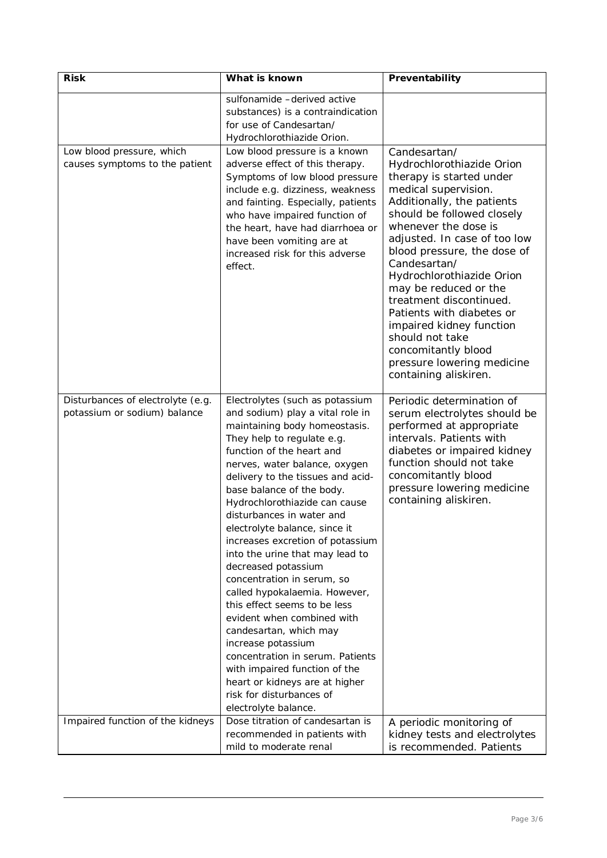| <b>Risk</b>                                                       | What is known<br>Preventability                                                                                                                                                                                                                                                                                                                                                                                                                                                                                                                                                                                                                                                                                                                                                                         |                                                                                                                                                                                                                                                                                                                                                                                                                                                                                                             |
|-------------------------------------------------------------------|---------------------------------------------------------------------------------------------------------------------------------------------------------------------------------------------------------------------------------------------------------------------------------------------------------------------------------------------------------------------------------------------------------------------------------------------------------------------------------------------------------------------------------------------------------------------------------------------------------------------------------------------------------------------------------------------------------------------------------------------------------------------------------------------------------|-------------------------------------------------------------------------------------------------------------------------------------------------------------------------------------------------------------------------------------------------------------------------------------------------------------------------------------------------------------------------------------------------------------------------------------------------------------------------------------------------------------|
|                                                                   | sulfonamide -derived active<br>substances) is a contraindication<br>for use of Candesartan/<br>Hydrochlorothiazide Orion.                                                                                                                                                                                                                                                                                                                                                                                                                                                                                                                                                                                                                                                                               |                                                                                                                                                                                                                                                                                                                                                                                                                                                                                                             |
| Low blood pressure, which<br>causes symptoms to the patient       | Low blood pressure is a known<br>adverse effect of this therapy.<br>Symptoms of low blood pressure<br>include e.g. dizziness, weakness<br>and fainting. Especially, patients<br>who have impaired function of<br>the heart, have had diarrhoea or<br>have been vomiting are at<br>increased risk for this adverse<br>effect.                                                                                                                                                                                                                                                                                                                                                                                                                                                                            | Candesartan/<br>Hydrochlorothiazide Orion<br>therapy is started under<br>medical supervision.<br>Additionally, the patients<br>should be followed closely<br>whenever the dose is<br>adjusted. In case of too low<br>blood pressure, the dose of<br>Candesartan/<br>Hydrochlorothiazide Orion<br>may be reduced or the<br>treatment discontinued.<br>Patients with diabetes or<br>impaired kidney function<br>should not take<br>concomitantly blood<br>pressure lowering medicine<br>containing aliskiren. |
| Disturbances of electrolyte (e.g.<br>potassium or sodium) balance | Electrolytes (such as potassium<br>and sodium) play a vital role in<br>maintaining body homeostasis.<br>They help to regulate e.g.<br>function of the heart and<br>nerves, water balance, oxygen<br>delivery to the tissues and acid-<br>base balance of the body.<br>Hydrochlorothiazide can cause<br>disturbances in water and<br>electrolyte balance, since it<br>increases excretion of potassium<br>into the urine that may lead to<br>decreased potassium<br>concentration in serum, so<br>called hypokalaemia. However,<br>this effect seems to be less<br>evident when combined with<br>candesartan, which may<br>increase potassium<br>concentration in serum. Patients<br>with impaired function of the<br>heart or kidneys are at higher<br>risk for disturbances of<br>electrolyte balance. | Periodic determination of<br>serum electrolytes should be<br>performed at appropriate<br>intervals. Patients with<br>diabetes or impaired kidney<br>function should not take<br>concomitantly blood<br>pressure lowering medicine<br>containing aliskiren.                                                                                                                                                                                                                                                  |
| Impaired function of the kidneys                                  | Dose titration of candesartan is<br>recommended in patients with<br>mild to moderate renal                                                                                                                                                                                                                                                                                                                                                                                                                                                                                                                                                                                                                                                                                                              | A periodic monitoring of<br>kidney tests and electrolytes<br>is recommended. Patients                                                                                                                                                                                                                                                                                                                                                                                                                       |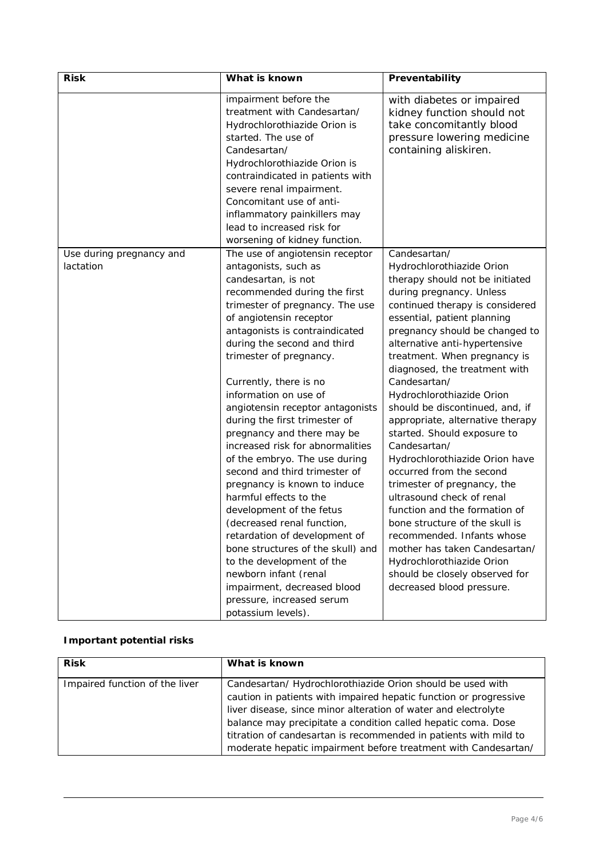| <b>Risk</b>                           | What is known                                                                                                                                                                                                                                                                                                                                                                                                                                                                                                                                                                                                                                                                                                                                                                                                                                                          | Preventability                                                                                                                                                                                                                                                                                                                                                                                                                                                                                                                                                                                                                                                                                                                                                                                                                            |
|---------------------------------------|------------------------------------------------------------------------------------------------------------------------------------------------------------------------------------------------------------------------------------------------------------------------------------------------------------------------------------------------------------------------------------------------------------------------------------------------------------------------------------------------------------------------------------------------------------------------------------------------------------------------------------------------------------------------------------------------------------------------------------------------------------------------------------------------------------------------------------------------------------------------|-------------------------------------------------------------------------------------------------------------------------------------------------------------------------------------------------------------------------------------------------------------------------------------------------------------------------------------------------------------------------------------------------------------------------------------------------------------------------------------------------------------------------------------------------------------------------------------------------------------------------------------------------------------------------------------------------------------------------------------------------------------------------------------------------------------------------------------------|
|                                       | impairment before the<br>treatment with Candesartan/<br>Hydrochlorothiazide Orion is<br>started. The use of<br>Candesartan/<br>Hydrochlorothiazide Orion is<br>contraindicated in patients with<br>severe renal impairment.<br>Concomitant use of anti-<br>inflammatory painkillers may<br>lead to increased risk for<br>worsening of kidney function.                                                                                                                                                                                                                                                                                                                                                                                                                                                                                                                 | with diabetes or impaired<br>kidney function should not<br>take concomitantly blood<br>pressure lowering medicine<br>containing aliskiren.                                                                                                                                                                                                                                                                                                                                                                                                                                                                                                                                                                                                                                                                                                |
| Use during pregnancy and<br>lactation | The use of angiotensin receptor<br>antagonists, such as<br>candesartan, is not<br>recommended during the first<br>trimester of pregnancy. The use<br>of angiotensin receptor<br>antagonists is contraindicated<br>during the second and third<br>trimester of pregnancy.<br>Currently, there is no<br>information on use of<br>angiotensin receptor antagonists<br>during the first trimester of<br>pregnancy and there may be<br>increased risk for abnormalities<br>of the embryo. The use during<br>second and third trimester of<br>pregnancy is known to induce<br>harmful effects to the<br>development of the fetus<br>(decreased renal function,<br>retardation of development of<br>bone structures of the skull) and<br>to the development of the<br>newborn infant (renal<br>impairment, decreased blood<br>pressure, increased serum<br>potassium levels). | Candesartan/<br>Hydrochlorothiazide Orion<br>therapy should not be initiated<br>during pregnancy. Unless<br>continued therapy is considered<br>essential, patient planning<br>pregnancy should be changed to<br>alternative anti-hypertensive<br>treatment. When pregnancy is<br>diagnosed, the treatment with<br>Candesartan/<br>Hydrochlorothiazide Orion<br>should be discontinued, and, if<br>appropriate, alternative therapy<br>started. Should exposure to<br>Candesartan/<br>Hydrochlorothiazide Orion have<br>occurred from the second<br>trimester of pregnancy, the<br>ultrasound check of renal<br>function and the formation of<br>bone structure of the skull is<br>recommended. Infants whose<br>mother has taken Candesartan/<br>Hydrochlorothiazide Orion<br>should be closely observed for<br>decreased blood pressure. |

### **Important potential risks**

| <b>Risk</b>                    | What is known                                                                                                                                                                                                                                                                                                                                                                                            |
|--------------------------------|----------------------------------------------------------------------------------------------------------------------------------------------------------------------------------------------------------------------------------------------------------------------------------------------------------------------------------------------------------------------------------------------------------|
| Impaired function of the liver | Candesartan/ Hydrochlorothiazide Orion should be used with<br>caution in patients with impaired hepatic function or progressive<br>liver disease, since minor alteration of water and electrolyte<br>balance may precipitate a condition called hepatic coma. Dose<br>titration of candesartan is recommended in patients with mild to<br>moderate hepatic impairment before treatment with Candesartan/ |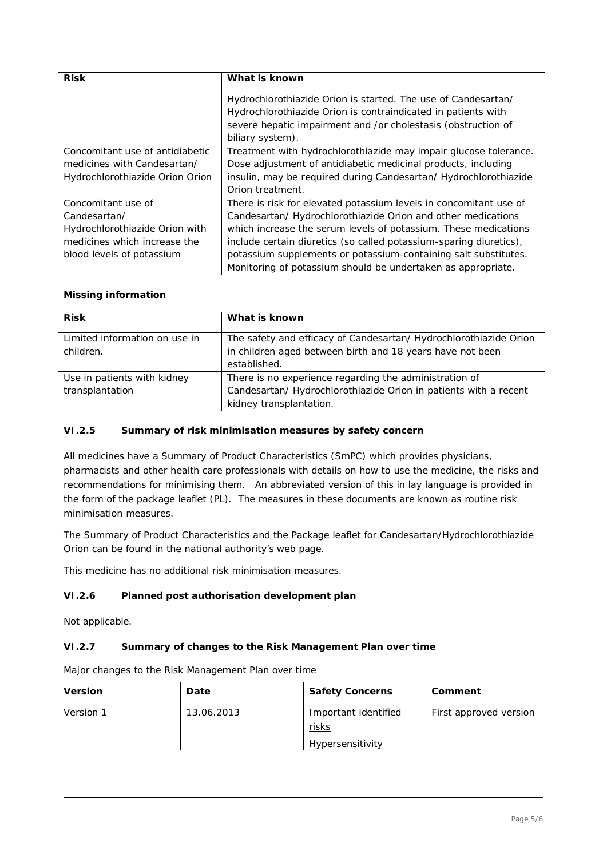| <b>Risk</b>                     | What is known                                                      |  |
|---------------------------------|--------------------------------------------------------------------|--|
|                                 | Hydrochlorothiazide Orion is started. The use of Candesartan/      |  |
|                                 | Hydrochlorothiazide Orion is contraindicated in patients with      |  |
|                                 | severe hepatic impairment and /or cholestasis (obstruction of      |  |
|                                 | biliary system).                                                   |  |
| Concomitant use of antidiabetic | Treatment with hydrochlorothiazide may impair glucose tolerance.   |  |
| medicines with Candesartan/     | Dose adjustment of antidiabetic medicinal products, including      |  |
| Hydrochlorothiazide Orion Orion | insulin, may be required during Candesartan/Hydrochlorothiazide    |  |
|                                 | Orion treatment.                                                   |  |
| Concomitant use of              | There is risk for elevated potassium levels in concomitant use of  |  |
| Candesartan/                    | Candesartan/ Hydrochlorothiazide Orion and other medications       |  |
| Hydrochlorothiazide Orion with  | which increase the serum levels of potassium. These medications    |  |
| medicines which increase the    | include certain diuretics (so called potassium-sparing diuretics), |  |
| blood levels of potassium       | potassium supplements or potassium-containing salt substitutes.    |  |
|                                 | Monitoring of potassium should be undertaken as appropriate.       |  |

### **Missing information**

| <b>Risk</b>                                    | What is known                                                                                                                                         |
|------------------------------------------------|-------------------------------------------------------------------------------------------------------------------------------------------------------|
| Limited information on use in<br>children.     | The safety and efficacy of Candesartan/ Hydrochlorothiazide Orion<br>in children aged between birth and 18 years have not been<br>established.        |
| Use in patients with kidney<br>transplantation | There is no experience regarding the administration of<br>Candesartan/ Hydrochlorothiazide Orion in patients with a recent<br>kidney transplantation. |

### *VI.2.5 Summary of risk minimisation measures by safety concern*

All medicines have a Summary of Product Characteristics (SmPC) which provides physicians, pharmacists and other health care professionals with details on how to use the medicine, the risks and recommendations for minimising them. An abbreviated version of this in lay language is provided in the form of the package leaflet (PL). The measures in these documents are known as routine risk minimisation measures.

The Summary of Product Characteristics and the Package leaflet for Candesartan/Hydrochlorothiazide Orion can be found in the national authority's web page.

This medicine has no additional risk minimisation measures.

### *VI.2.6 Planned post authorisation development plan*

Not applicable.

#### *VI.2.7 Summary of changes to the Risk Management Plan over time*

Major changes to the Risk Management Plan over time

| Version   | Date       | Safety Concerns                                          | Comment                |
|-----------|------------|----------------------------------------------------------|------------------------|
| Version 1 | 13.06.2013 | Important identified<br><u>risks</u><br>Hypersensitivity | First approved version |